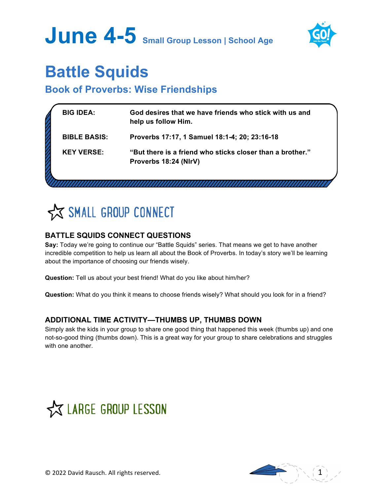# **June 4-5 Small Group Lesson | School Age**



# **Battle Squids**

## **Book of Proverbs: Wise Friendships**

| <b>BIG IDEA:</b>    | God desires that we have friends who stick with us and<br>help us follow Him.      |  |
|---------------------|------------------------------------------------------------------------------------|--|
| <b>BIBLE BASIS:</b> | Proverbs 17:17, 1 Samuel 18:1-4; 20; 23:16-18                                      |  |
| <b>KEY VERSE:</b>   | "But there is a friend who sticks closer than a brother."<br>Proverbs 18:24 (NIrV) |  |
|                     |                                                                                    |  |

SMALL GROUP CONNECT

## **BATTLE SQUIDS CONNECT QUESTIONS**

**Say:** Today we're going to continue our "Battle Squids" series. That means we get to have another incredible competition to help us learn all about the Book of Proverbs. In today's story we'll be learning about the importance of choosing our friends wisely.

**Question:** Tell us about your best friend! What do you like about him/her?

**Question:** What do you think it means to choose friends wisely? What should you look for in a friend?

## **ADDITIONAL TIME ACTIVITY—THUMBS UP, THUMBS DOWN**

Simply ask the kids in your group to share one good thing that happened this week (thumbs up) and one not-so-good thing (thumbs down). This is a great way for your group to share celebrations and struggles with one another.



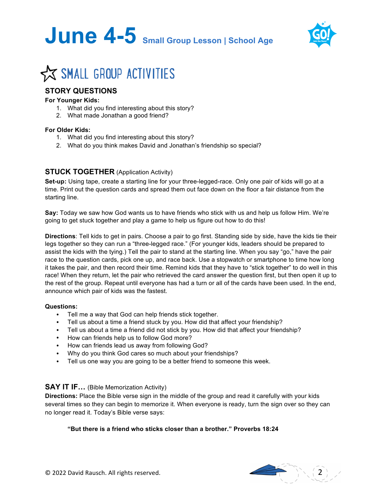



# **X SMALL GROUP ACTIVITIES**

### **STORY QUESTIONS**

#### **For Younger Kids:**

- 1. What did you find interesting about this story?
- 2. What made Jonathan a good friend?

#### **For Older Kids:**

- 1. What did you find interesting about this story?
- 2. What do you think makes David and Jonathan's friendship so special?

#### **STUCK TOGETHER** (Application Activity)

**Set-up:** Using tape, create a starting line for your three-legged-race. Only one pair of kids will go at a time. Print out the question cards and spread them out face down on the floor a fair distance from the starting line.

**Say:** Today we saw how God wants us to have friends who stick with us and help us follow Him. We're going to get stuck together and play a game to help us figure out how to do this!

**Directions**: Tell kids to get in pairs. Choose a pair to go first. Standing side by side, have the kids tie their legs together so they can run a "three-legged race." (For younger kids, leaders should be prepared to assist the kids with the tying.) Tell the pair to stand at the starting line. When you say "go," have the pair race to the question cards, pick one up, and race back. Use a stopwatch or smartphone to time how long it takes the pair, and then record their time. Remind kids that they have to "stick together" to do well in this race! When they return, let the pair who retrieved the card answer the question first, but then open it up to the rest of the group. Repeat until everyone has had a turn or all of the cards have been used. In the end, announce which pair of kids was the fastest.

#### **Questions:**

- Tell me a way that God can help friends stick together.
- Tell us about a time a friend stuck by you. How did that affect your friendship?
- Tell us about a time a friend did not stick by you. How did that affect your friendship?
- How can friends help us to follow God more?
- How can friends lead us away from following God?
- Why do you think God cares so much about your friendships?
- Tell us one way you are going to be a better friend to someone this week.

#### **SAY IT IF…** (Bible Memorization Activity)

**Directions:** Place the Bible verse sign in the middle of the group and read it carefully with your kids several times so they can begin to memorize it. When everyone is ready, turn the sign over so they can no longer read it. Today's Bible verse says:

#### **"But there is a friend who sticks closer than a brother." Proverbs 18:24**